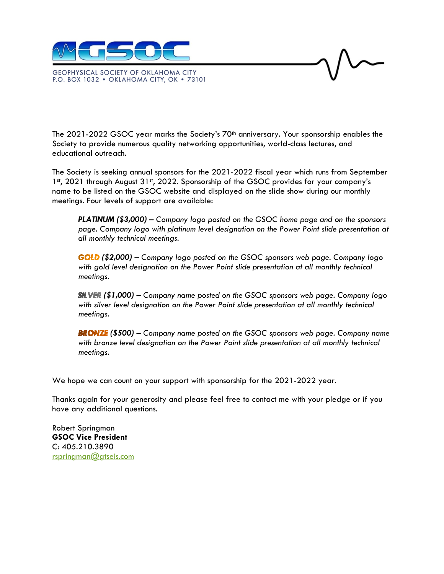

**GEOPHYSICAL SOCIETY OF OKLAHOMA CITY** P.O. BOX 1032 · OKLAHOMA CITY, OK · 73101

The 2021-2022 GSOC year marks the Society's 70<sup>th</sup> anniversary. Your sponsorship enables the Society to provide numerous quality networking opportunities, world-class lectures, and educational outreach.

The Society is seeking annual sponsors for the 2021-2022 fiscal year which runs from September 1st, 2021 through August 31st, 2022. Sponsorship of the GSOC provides for your company's name to be listed on the GSOC website and displayed on the slide show during our monthly meetings. Four levels of support are available:

*PLATINUM (\$3,000) – Company logo posted on the GSOC home page and on the sponsors page. Company logo with platinum level designation on the Power Point slide presentation at all monthly technical meetings.*

*(\$2,000) – Company logo posted on the GSOC sponsors web page. Company logo with gold level designation on the Power Point slide presentation at all monthly technical meetings.*

*(\$1,000) – Company name posted on the GSOC sponsors web page. Company logo with silver level designation on the Power Point slide presentation at all monthly technical meetings.*

*(\$500) – Company name posted on the GSOC sponsors web page. Company name* with bronze level designation on the Power Point slide presentation at all monthly technical *meetings.*

We hope we can count on your support with sponsorship for the 2021-2022 year.

Thanks again for your generosity and please feel free to contact me with your pledge or if you have any additional questions.

Robert Springman **GSOC Vice President** C: 405.210.3890 [rspringman@gtseis.com](mailto:rspringman@gtseis.com)